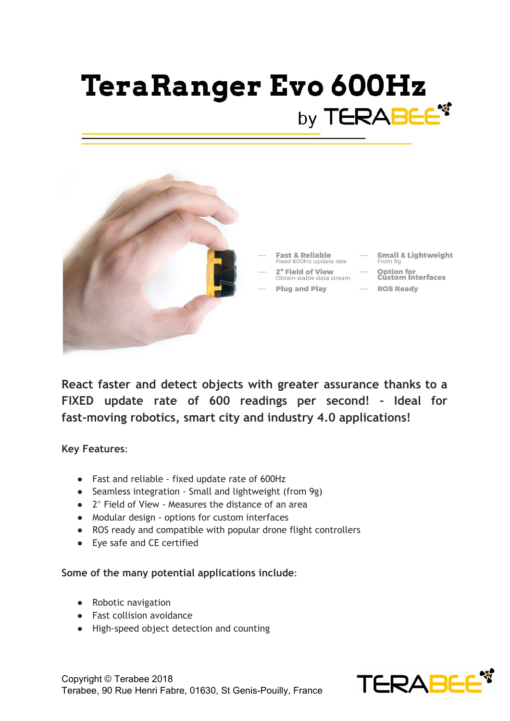# **TeraRanger Evo 600Hz** by TERABEE<sup>\*</sup>



**React faster and detect objects with greater assurance thanks to a FIXED update rate of 600 readings per second! - Ideal for fast-moving robotics, smart city and industry 4.0 applications!**

**Key Features**:

- Fast and reliable fixed update rate of 600Hz
- Seamless integration Small and lightweight (from 9g)
- 2° Field of View Measures the distance of an area
- Modular design options for custom interfaces
- ROS ready and compatible with popular drone flight controllers
- Eye safe and CE certified

#### **Some of the many potential applications include**:

- Robotic navigation
- Fast collision avoidance
- High-speed object detection and counting



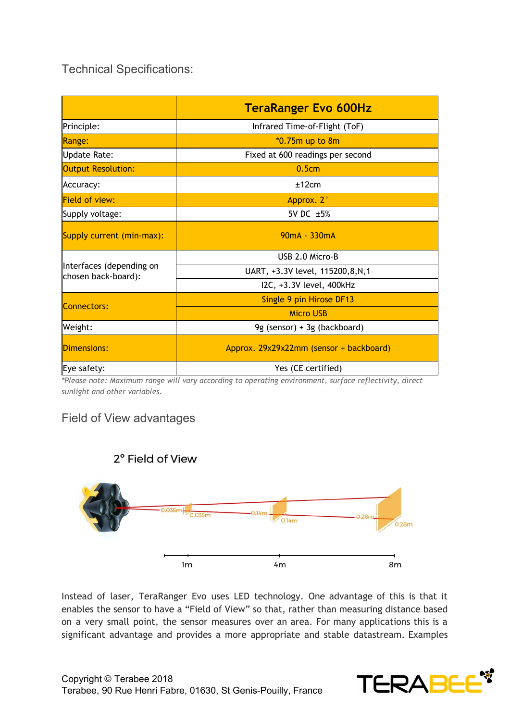Technical Specifications:

|                                                 | <b>TeraRanger Evo 600Hz</b>             |
|-------------------------------------------------|-----------------------------------------|
| Principle:                                      | Infrared Time-of-Flight (ToF)           |
| Range:                                          | *0.75m up to 8m                         |
| <b>Update Rate:</b>                             | Fixed at 600 readings per second        |
| <b>Output Resolution:</b>                       | 0.5cm                                   |
| Accuracy:                                       | ±12cm                                   |
| <b>Field of view:</b>                           | Approx. 2°                              |
| Supply voltage:                                 | 5V DC ±5%                               |
| Supply current (min-max):                       | $90mA - 330mA$                          |
| Interfaces (depending on<br>chosen back-board): | USB 2.0 Micro-B                         |
|                                                 | UART, +3.3V level, 115200,8,N,1         |
|                                                 | I2C, +3.3V level, 400kHz                |
| <b>Connectors:</b>                              | Single 9 pin Hirose DF13                |
|                                                 | <b>Micro USB</b>                        |
| Weight:                                         | 9g (sensor) + 3g (backboard)            |
| Dimensions:                                     | Approx. 29x29x22mm (sensor + backboard) |
| Eye safety:                                     | Yes (CE certified)                      |

*\*Please note: Maximum range will vary according to operating environment, surface reflectivity, direct sunlight and other variables.*

### Field of View advantages



Instead of laser, TeraRanger Evo uses LED technology. One advantage of this is that it enables the sensor to have a "Field of View" so that, rather than measuring distance based on a very small point, the sensor measures over an area. For many applications this is a significant advantage and provides a more appropriate and stable datastream. Examples

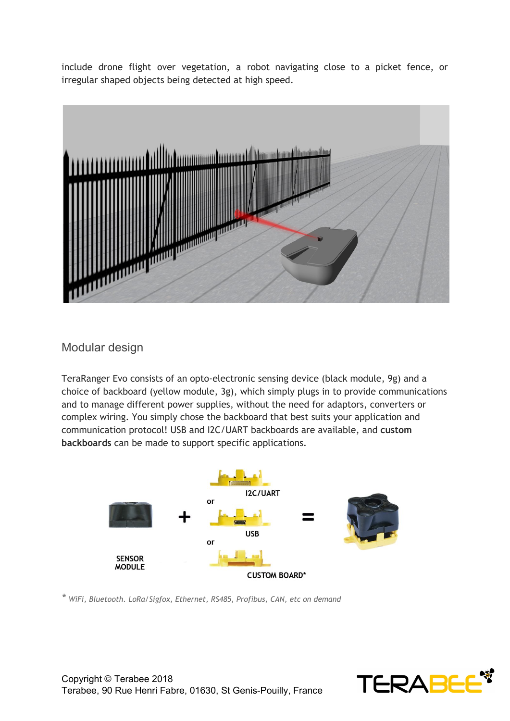include drone flight over vegetation, a robot navigating close to a picket fence, or irregular shaped objects being detected at high speed.



#### Modular design

TeraRanger Evo consists of an opto-electronic sensing device (black module, 9g) and a choice of backboard (yellow module, 3g), which simply plugs in to provide communications and to manage different power supplies, without the need for adaptors, converters or complex wiring. You simply chose the backboard that best suits your application and communication protocol! USB and I2C/UART backboards are available, and **custom backboards** can be made to support specific applications.



*\* WiFi, Bluetooth. LoRa/Sigfox, Ethernet, RS485, Profibus, CAN, etc on demand*

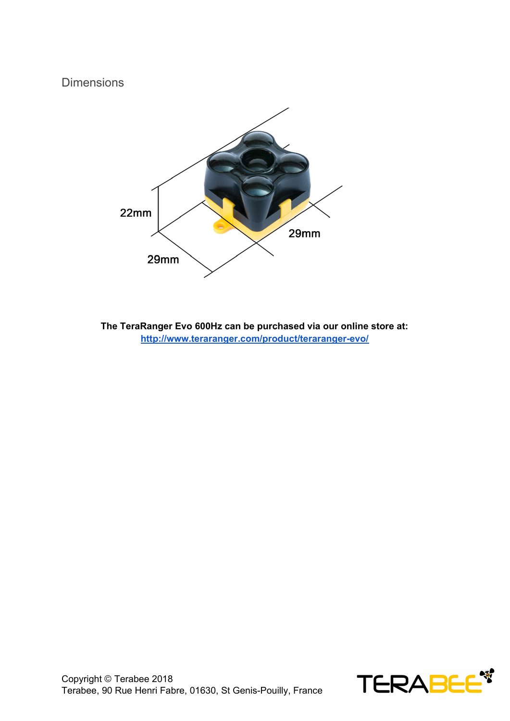#### **Dimensions**



**The TeraRanger Evo 600Hz can be purchased via our online store at: <http://www.teraranger.com/product/teraranger-evo/>**